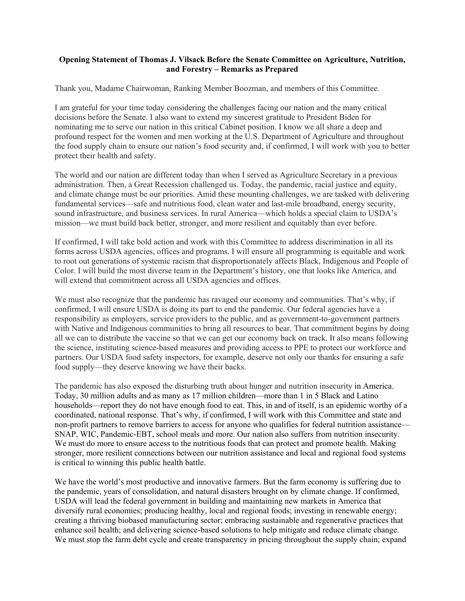## **Opening Statement of Thomas J. Vilsack Before the Senate Committee on Agriculture, Nutrition, and Forestry – Remarks as Prepared**

Thank you, Madame Chairwoman, Ranking Member Boozman, and members of this Committee.

I am grateful for your time today considering the challenges facing our nation and the many critical decisions before the Senate. I also want to extend my sincerest gratitude to President Biden for nominating me to serve our nation in this critical Cabinet position. I know we all share a deep and profound respect for the women and men working at the U.S. Department of Agriculture and throughout the food supply chain to ensure our nation's food security and, if confirmed, I will work with you to better protect their health and safety.

The world and our nation are different today than when I served as Agriculture Secretary in a previous administration. Then, a Great Recession challenged us. Today, the pandemic, racial justice and equity, and climate change must be our priorities. Amid these mounting challenges, we are tasked with delivering fundamental services—safe and nutritious food, clean water and last-mile broadband, energy security, sound infrastructure, and business services. In rural America—which holds a special claim to USDA's mission—we must build back better, stronger, and more resilient and equitably than ever before.

If confirmed, I will take bold action and work with this Committee to address discrimination in all its forms across USDA agencies, offices and programs. I will ensure all programming is equitable and work to root out generations of systemic racism that disproportionately affects Black, Indigenous and People of Color. I will build the most diverse team in the Department's history, one that looks like America, and will extend that commitment across all USDA agencies and offices.

We must also recognize that the pandemic has ravaged our economy and communities. That's why, if confirmed, I will ensure USDA is doing its part to end the pandemic. Our federal agencies have a responsibility as employers, service providers to the public, and as government-to-government partners with Native and Indigenous communities to bring all resources to bear. That commitment begins by doing all we can to distribute the vaccine so that we can get our economy back on track. It also means following the science, instituting science-based measures and providing access to PPE to protect our workforce and partners. Our USDA food safety inspectors, for example, deserve not only our thanks for ensuring a safe food supply—they deserve knowing we have their backs.

The pandemic has also exposed the disturbing truth about hunger and nutrition insecurity in America. Today, 30 million adults and as many as 17 million children—more than 1 in 5 Black and Latino households—report they do not have enough food to eat. This, in and of itself, is an epidemic worthy of a coordinated, national response. That's why, if confirmed, I will work with this Committee and state and non-profit partners to remove barriers to access for anyone who qualifies for federal nutrition assistance— SNAP, WIC, Pandemic-EBT, school meals and more. Our nation also suffers from nutrition insecurity. We must do more to ensure access to the nutritious foods that can protect and promote health. Making stronger, more resilient connections between our nutrition assistance and local and regional food systems is critical to winning this public health battle.

We have the world's most productive and innovative farmers. But the farm economy is suffering due to the pandemic, years of consolidation, and natural disasters brought on by climate change. If confirmed, USDA will lead the federal government in building and maintaining new markets in America that diversify rural economies; producing healthy, local and regional foods; investing in renewable energy; creating a thriving biobased manufacturing sector; embracing sustainable and regenerative practices that enhance soil health; and delivering science-based solutions to help mitigate and reduce climate change. We must stop the farm debt cycle and create transparency in pricing throughout the supply chain; expand